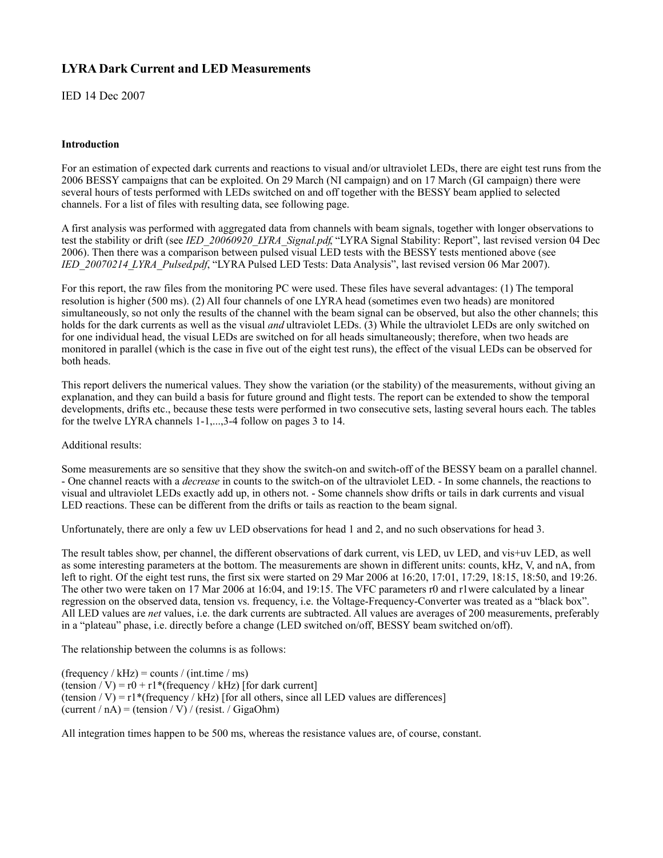#### **LYRA Dark Current and LED Measurements**

IED 14 Dec 2007

#### **Introduction**

For an estimation of expected dark currents and reactions to visual and/or ultraviolet LEDs, there are eight test runs from the 2006 BESSY campaigns that can be exploited. On 29 March (NI campaign) and on 17 March (GI campaign) there were several hours of tests performed with LEDs switched on and off together with the BESSY beam applied to selected channels. For a list of files with resulting data, see following page.

A first analysis was performed with aggregated data from channels with beam signals, together with longer observations to test the stability or drift (see *IED\_20060920\_LYRA\_Signal.pdf*, "LYRA Signal Stability: Report", last revised version 04 Dec 2006). Then there was a comparison between pulsed visual LED tests with the BESSY tests mentioned above (see *IED\_20070214\_LYRA\_Pulsed.pdf*, "LYRA Pulsed LED Tests: Data Analysis", last revised version 06 Mar 2007).

For this report, the raw files from the monitoring PC were used. These files have several advantages: (1) The temporal resolution is higher (500 ms). (2) All four channels of one LYRA head (sometimes even two heads) are monitored simultaneously, so not only the results of the channel with the beam signal can be observed, but also the other channels; this holds for the dark currents as well as the visual *and* ultraviolet LEDs. (3) While the ultraviolet LEDs are only switched on for one individual head, the visual LEDs are switched on for all heads simultaneously; therefore, when two heads are monitored in parallel (which is the case in five out of the eight test runs), the effect of the visual LEDs can be observed for both heads.

This report delivers the numerical values. They show the variation (or the stability) of the measurements, without giving an explanation, and they can build a basis for future ground and flight tests. The report can be extended to show the temporal developments, drifts etc., because these tests were performed in two consecutive sets, lasting several hours each. The tables for the twelve LYRA channels 1-1,...,3-4 follow on pages 3 to 14.

Additional results:

Some measurements are so sensitive that they show the switch-on and switch-off of the BESSY beam on a parallel channel. - One channel reacts with a *decrease* in counts to the switch-on of the ultraviolet LED. - In some channels, the reactions to visual and ultraviolet LEDs exactly add up, in others not. - Some channels show drifts or tails in dark currents and visual LED reactions. These can be different from the drifts or tails as reaction to the beam signal.

Unfortunately, there are only a few uv LED observations for head 1 and 2, and no such observations for head 3.

The result tables show, per channel, the different observations of dark current, vis LED, uv LED, and vis+uv LED, as well as some interesting parameters at the bottom. The measurements are shown in different units: counts, kHz, V, and nA, from left to right. Of the eight test runs, the first six were started on 29 Mar 2006 at 16:20, 17:01, 17:29, 18:15, 18:50, and 19:26. The other two were taken on 17 Mar 2006 at 16:04, and 19:15. The VFC parameters r0 and r1were calculated by a linear regression on the observed data, tension vs. frequency, i.e. the Voltage-Frequency-Converter was treated as a "black box". All LED values are *net* values, i.e. the dark currents are subtracted. All values are averages of 200 measurements, preferably in a "plateau" phase, i.e. directly before a change (LED switched on/off, BESSY beam switched on/off).

The relationship between the columns is as follows:

(frequency / kHz) = counts / (int.time / ms)  $(\text{tension}/V) = r0 + r1*(frequency / kHz)$  [for dark current] (tension / V) =  $r1$ <sup>\*</sup>(frequency / kHz) [for all others, since all LED values are differences]  $(current / nA) = (tension / V) / (resist. / GigaOhm)$ 

All integration times happen to be 500 ms, whereas the resistance values are, of course, constant.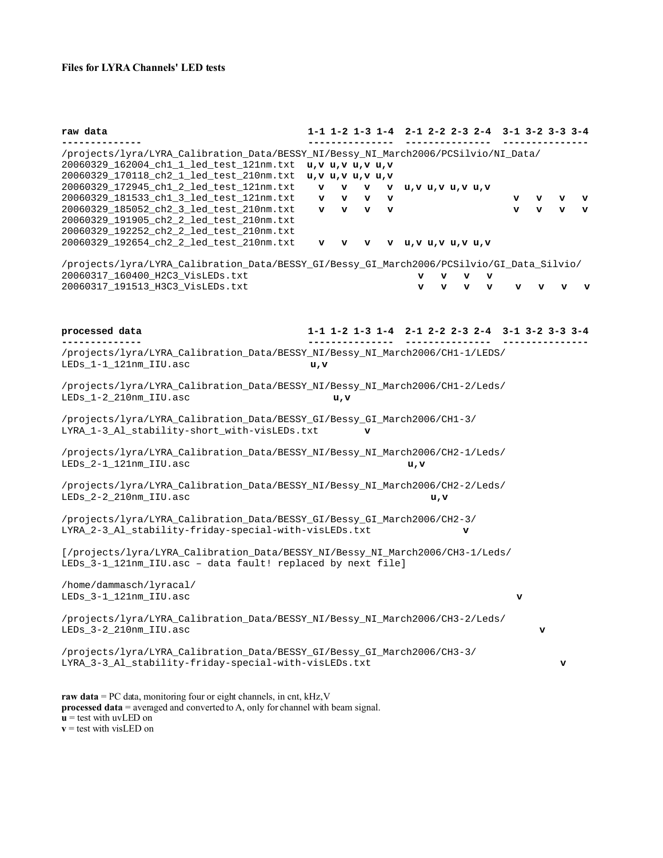#### **Files for LYRA Channels' LED tests**

**raw data 1-1 1-2 1-3 1-4 2-1 2-2 2-3 2-4 3-1 3-2 3-3 3-4 -------------- --------------- --------------- ---------------** /projects/lyra/LYRA\_Calibration\_Data/BESSY\_NI/Bessy\_NI\_March2006/PCSilvio/NI\_Data/ 20060329\_162004\_ch1\_1\_led\_test\_121nm.txt **u,v u,v u,v u,v** 20060329\_170118\_ch2\_1\_led\_test\_210nm.txt **u,v u,v u,v u,v** 20060329\_172945\_ch1\_2\_led\_test\_121nm.txt **v v v v u,v u,v u,v u,v** 20060329\_181533\_ch1\_3\_led\_test\_121nm.txt **v v v v v v v v** 20060329\_185052\_ch2\_3\_led\_test\_210nm.txt **v v v v v v v v** 20060329\_191905\_ch2\_2\_led\_test\_210nm.txt 20060329\_192252\_ch2\_2\_led\_test\_210nm.txt 20060329\_192654\_ch2\_2\_led\_test\_210nm.txt **v v v v u,v u,v u,v u,v** /projects/lyra/LYRA\_Calibration\_Data/BESSY\_GI/Bessy\_GI\_March2006/PCSilvio/GI\_Data\_Silvio/ 20060317\_160400\_H2C3\_VisLEDs.txt **v v v v** 20060317\_191513\_H3C3\_VisLEDs.txt **v v v v v v v v processed data 1-1 1-2 1-3 1-4 2-1 2-2 2-3 2-4 3-1 3-2 3-3 3-4 -------------- --------------- --------------- ---------------** /projects/lyra/LYRA\_Calibration\_Data/BESSY\_NI/Bessy\_NI\_March2006/CH1-1/LEDS/ LEDs\_1-1\_121nm\_IIU.asc **u,v** /projects/lyra/LYRA\_Calibration\_Data/BESSY\_NI/Bessy\_NI\_March2006/CH1-2/Leds/ LEDs\_1-2\_210nm\_IIU.asc **u,v** /projects/lyra/LYRA\_Calibration\_Data/BESSY\_GI/Bessy\_GI\_March2006/CH1-3/ LYRA\_1-3\_Al\_stability-short\_with-visLEDs.txt **v** /projects/lyra/LYRA\_Calibration\_Data/BESSY\_NI/Bessy\_NI\_March2006/CH2-1/Leds/ LEDs\_2-1\_121nm\_IIU.asc **u,v** /projects/lyra/LYRA\_Calibration\_Data/BESSY\_NI/Bessy\_NI\_March2006/CH2-2/Leds/ LEDs\_2-2\_210nm\_IIU.asc **u,v** /projects/lyra/LYRA\_Calibration\_Data/BESSY\_GI/Bessy\_GI\_March2006/CH2-3/ LYRA\_2-3\_Al\_stability-friday-special-with-visLEDs.txt **v** [/projects/lyra/LYRA\_Calibration\_Data/BESSY\_NI/Bessy\_NI\_March2006/CH3-1/Leds/ LEDs\_3-1\_121nm\_IIU.asc – data fault! replaced by next file] /home/dammasch/lyracal/ LEDs\_3-1\_121nm\_IIU.asc **v** /projects/lyra/LYRA\_Calibration\_Data/BESSY\_NI/Bessy\_NI\_March2006/CH3-2/Leds/ LEDs\_3-2\_210nm\_IIU.asc **v** /projects/lyra/LYRA\_Calibration\_Data/BESSY\_GI/Bessy\_GI\_March2006/CH3-3/ LYRA\_3-3\_Al\_stability-friday-special-with-visLEDs.txt **v raw data** = PC data, monitoring four or eight channels, in cnt, kHz, V **processed data** = averaged and converted to A, only for channel with beam signal.

 **= test with uvLED on** 

 $v =$  test with visLED on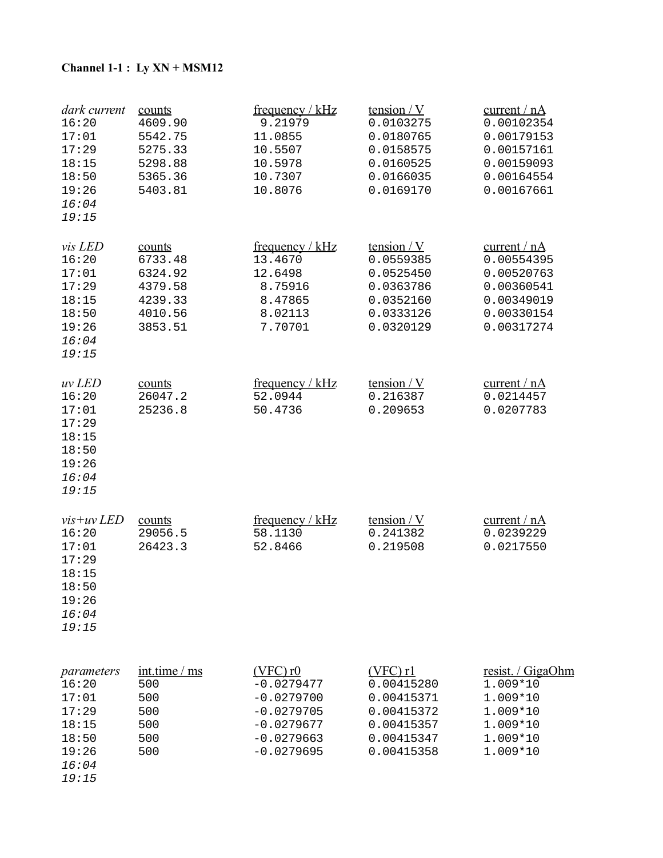# **Channel 1-1 : Ly XN + MSM12**

| dark current<br>16:20<br>17:01<br>17:29<br>18:15<br>18:50<br>19:26<br>16:04<br>19:15        | counts<br>4609.90<br>5542.75<br>5275.33<br>5298.88<br>5365.36<br>5403.81      | frequency / kHz<br>9.21979<br>11.0855<br>10.5507<br>10.5978<br>10.7307<br>10.8076                             | tension $/Y$<br>0.0103275<br>0.0180765<br>0.0158575<br>0.0160525<br>0.0166035<br>0.0169170     | current / nA<br>0.00102354<br>0.00179153<br>0.00157161<br>0.00159093<br>0.00164554<br>0.00167661 |
|---------------------------------------------------------------------------------------------|-------------------------------------------------------------------------------|---------------------------------------------------------------------------------------------------------------|------------------------------------------------------------------------------------------------|--------------------------------------------------------------------------------------------------|
| vis LED<br>16:20<br>17:01<br>17:29<br>18:15<br>18:50<br>19:26<br>16:04<br>19:15             | counts<br>6733.48<br>6324.92<br>4379.58<br>4239.33<br>4010.56<br>3853.51      | frequency / $kHz$<br>13.4670<br>12.6498<br>8.75916<br>8.47865<br>8.02113<br>7.70701                           | tension $/Y$<br>0.0559385<br>0.0525450<br>0.0363786<br>0.0352160<br>0.0333126<br>0.0320129     | current / nA<br>0.00554395<br>0.00520763<br>0.00360541<br>0.00349019<br>0.00330154<br>0.00317274 |
| uv LED<br>16:20<br>17:01<br>17:29<br>18:15<br>18:50<br>19:26<br>16:04<br>19:15              | counts<br>26047.2<br>25236.8                                                  | frequency / kHz<br>52.0944<br>50.4736                                                                         | <u>tension / V</u><br>0.216387<br>0.209653                                                     | current / $nA$<br>0.0214457<br>0.0207783                                                         |
| $vis+uv$ <i>LED</i><br>16:20<br>17:01<br>17:29<br>18:15<br>18:50<br>19:26<br>16:04<br>19:15 | counts<br>29056.5<br>26423.3                                                  | frequency / $kHz$<br>58.1130<br>52.8466                                                                       | <u>tension / V</u><br>0.241382<br>0.219508                                                     | current / nA<br>0.0239229<br>0.0217550                                                           |
| parameters<br>16:20<br>17:01<br>17:29<br>18:15<br>18:50<br>19:26<br>16:04                   | $\frac{\text{int.time}}{\text{ms}}$<br>500<br>500<br>500<br>500<br>500<br>500 | $(VFC)$ r $0$<br>$-0.0279477$<br>$-0.0279700$<br>$-0.0279705$<br>$-0.0279677$<br>$-0.0279663$<br>$-0.0279695$ | $(VFC)$ r1<br>0.00415280<br>0.00415371<br>0.00415372<br>0.00415357<br>0.00415347<br>0.00415358 | resist. / GigaOhm<br>1.009*10<br>1.009*10<br>1.009*10<br>1.009*10<br>1.009*10<br>1.009*10        |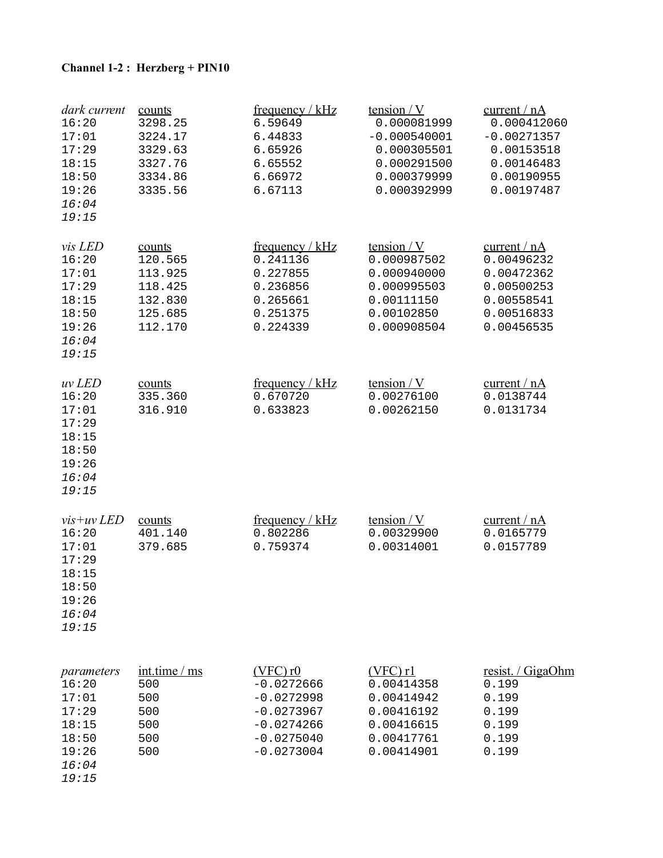# **Channel 1-2 : Herzberg + PIN10**

| dark current<br>16:20<br>17:01<br>17:29<br>18:15<br>18:50<br>19:26<br>16:04<br>19:15        | counts<br>3298.25<br>3224.17<br>3329.63<br>3327.76<br>3334.86<br>3335.56      | frequency / $kHz$<br>6.59649<br>6.44833<br>6.65926<br>6.65552<br>6.66972<br>6.67113                           | <u>tension / V</u><br>0.000081999<br>$-0.000540001$<br>0.000305501<br>0.000291500<br>0.000379999<br>0.000392999 | current / nA<br>0.000412060<br>$-0.00271357$<br>0.00153518<br>0.00146483<br>0.00190955<br>0.00197487 |
|---------------------------------------------------------------------------------------------|-------------------------------------------------------------------------------|---------------------------------------------------------------------------------------------------------------|-----------------------------------------------------------------------------------------------------------------|------------------------------------------------------------------------------------------------------|
| vis LED<br>16:20<br>17:01<br>17:29<br>18:15<br>18:50<br>19:26<br>16:04<br>19:15             | counts<br>120.565<br>113.925<br>118.425<br>132.830<br>125.685<br>112.170      | frequency / $kHz$<br>0.241136<br>0.227855<br>0.236856<br>0.265661<br>0.251375<br>0.224339                     | <u>tension / V</u><br>0.000987502<br>0.000940000<br>0.000995503<br>0.00111150<br>0.00102850<br>0.000908504      | current / nA<br>0.00496232<br>0.00472362<br>0.00500253<br>0.00558541<br>0.00516833<br>0.00456535     |
| uv LED<br>16:20<br>17:01<br>17:29<br>18:15<br>18:50<br>19:26<br>16:04<br>19:15              | counts<br>335.360<br>316.910                                                  | <u>frequency / kHz</u><br>0.670720<br>0.633823                                                                | tension $/Y$<br>0.00276100<br>0.00262150                                                                        | current / nA<br>0.0138744<br>0.0131734                                                               |
| $vis+uv$ <i>LED</i><br>16:20<br>17:01<br>17:29<br>18:15<br>18:50<br>19:26<br>16:04<br>19:15 | counts<br>401.140<br>379.685                                                  | frequency / kHz<br>0.802286<br>0.759374                                                                       | tension $/Y$<br>0.00329900<br>0.00314001                                                                        | current / nA<br>0.0165779<br>0.0157789                                                               |
| parameters<br>16:20<br>17:01<br>17:29<br>18:15<br>18:50<br>19:26<br>16:04                   | $\frac{\text{int.time}}{\text{ms}}$<br>500<br>500<br>500<br>500<br>500<br>500 | $(VFC)$ r $0$<br>$-0.0272666$<br>$-0.0272998$<br>$-0.0273967$<br>$-0.0274266$<br>$-0.0275040$<br>$-0.0273004$ | $(VFC)$ r1<br>0.00414358<br>0.00414942<br>0.00416192<br>0.00416615<br>0.00417761<br>0.00414901                  | resist. / GigaOhm<br>0.199<br>0.199<br>0.199<br>0.199<br>0.199<br>0.199                              |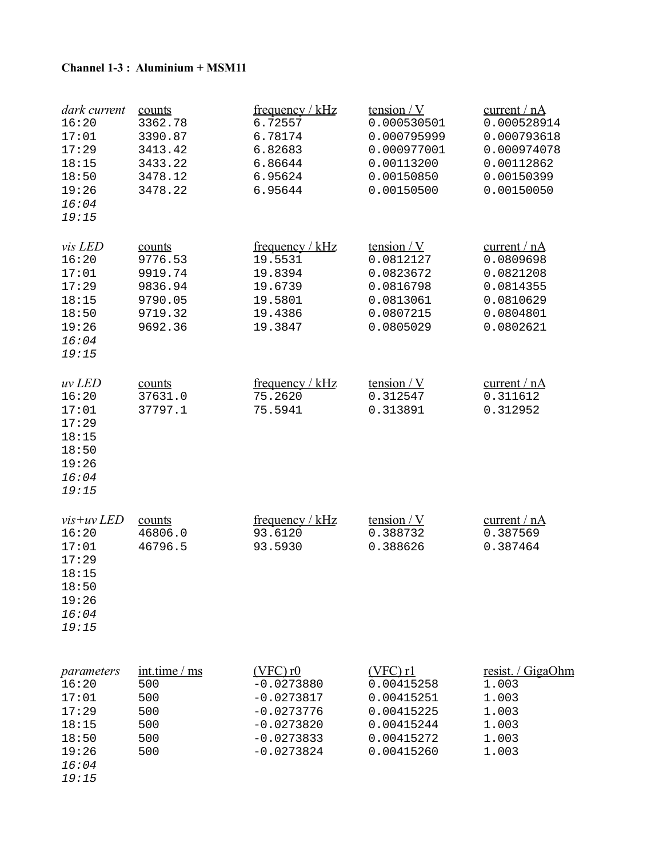#### **Channel 1-3 : Aluminium + MSM11**

| dark current<br>16:20<br>17:01<br>17:29<br>18:15<br>18:50<br>19:26<br>16:04<br>19:15        | counts<br>3362.78<br>3390.87<br>3413.42<br>3433.22<br>3478.12<br>3478.22      | frequency / kHz<br>6.72557<br>6.78174<br>6.82683<br>6.86644<br>6.95624<br>6.95644                             | tension $/V$<br>0.000530501<br>0.000795999<br>0.000977001<br>0.00113200<br>0.00150850<br>0.00150500 | current / nA<br>0.000528914<br>0.000793618<br>0.000974078<br>0.00112862<br>0.00150399<br>0.00150050 |
|---------------------------------------------------------------------------------------------|-------------------------------------------------------------------------------|---------------------------------------------------------------------------------------------------------------|-----------------------------------------------------------------------------------------------------|-----------------------------------------------------------------------------------------------------|
| vis LED<br>16:20<br>17:01<br>17:29<br>18:15<br>18:50<br>19:26<br>16:04<br>19:15             | counts<br>9776.53<br>9919.74<br>9836.94<br>9790.05<br>9719.32<br>9692.36      | frequency / $kHz$<br>19.5531<br>19.8394<br>19.6739<br>19.5801<br>19.4386<br>19.3847                           | tension $/Y$<br>0.0812127<br>0.0823672<br>0.0816798<br>0.0813061<br>0.0807215<br>0.0805029          | current / nA<br>0.0809698<br>0.0821208<br>0.0814355<br>0.0810629<br>0.0804801<br>0.0802621          |
| uv LED<br>16:20<br>17:01<br>17:29<br>18:15<br>18:50<br>19:26<br>16:04<br>19:15              | counts<br>37631.0<br>37797.1                                                  | frequency / $kHz$<br>75.2620<br>75.5941                                                                       | tension $/Y$<br>0.312547<br>0.313891                                                                | current / $nA$<br>0.311612<br>0.312952                                                              |
| $vis+uv$ <i>LED</i><br>16:20<br>17:01<br>17:29<br>18:15<br>18:50<br>19:26<br>16:04<br>19:15 | counts<br>46806.0<br>46796.5                                                  | frequency / kHz<br>93.6120<br>93.5930                                                                         | <u>tension / V</u><br>0.388732<br>0.388626                                                          | current / nA<br>0.387569<br>0.387464                                                                |
| parameters<br>16:20<br>17:01<br>17:29<br>18:15<br>18:50<br>19:26<br>16:04                   | $\frac{\text{int.time}}{\text{ms}}$<br>500<br>500<br>500<br>500<br>500<br>500 | $(VFC)$ r $0$<br>$-0.0273880$<br>$-0.0273817$<br>$-0.0273776$<br>$-0.0273820$<br>$-0.0273833$<br>$-0.0273824$ | $(VFC)$ r1<br>0.00415258<br>0.00415251<br>0.00415225<br>0.00415244<br>0.00415272<br>0.00415260      | resist. / GigaOhm<br>1.003<br>1.003<br>1.003<br>1.003<br>1.003<br>1.003                             |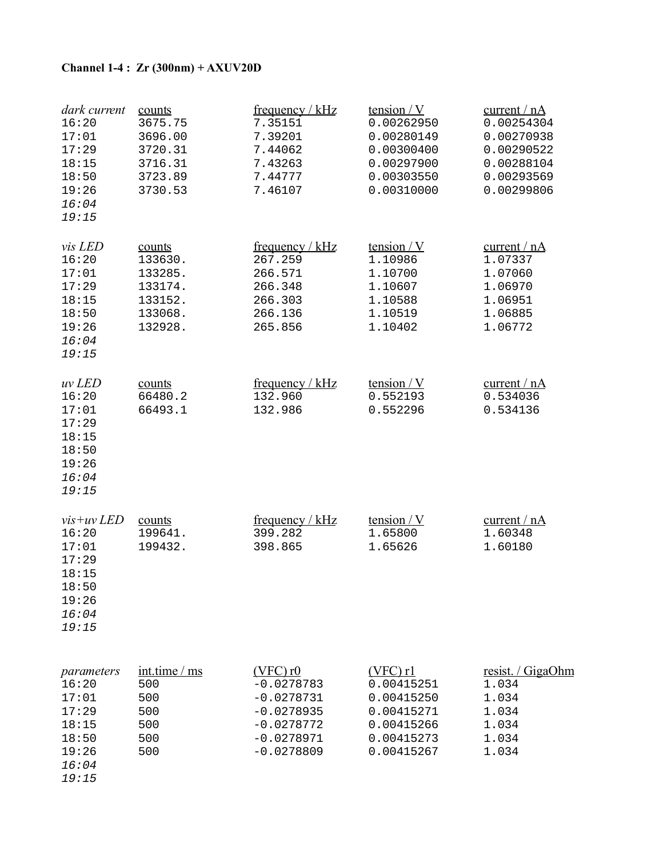# **Channel 1-4 : Zr (300nm) + AXUV20D**

| dark current<br>16:20<br>17:01<br>17:29<br>18:15<br>18:50<br>19:26<br>16:04<br>19:15        | counts<br>3675.75<br>3696.00<br>3720.31<br>3716.31<br>3723.89<br>3730.53 | frequency / kHz<br>7.35151<br>7.39201<br>7.44062<br>7.43263<br>7.44777<br>7.46107                             | tension $/Y$<br>0.00262950<br>0.00280149<br>0.00300400<br>0.00297900<br>0.00303550<br>0.00310000 | current / $nA$<br>0.00254304<br>0.00270938<br>0.00290522<br>0.00288104<br>0.00293569<br>0.00299806 |
|---------------------------------------------------------------------------------------------|--------------------------------------------------------------------------|---------------------------------------------------------------------------------------------------------------|--------------------------------------------------------------------------------------------------|----------------------------------------------------------------------------------------------------|
| <i>vis LED</i><br>16:20<br>17:01<br>17:29<br>18:15<br>18:50<br>19:26<br>16:04<br>19:15      | counts<br>133630.<br>133285.<br>133174.<br>133152.<br>133068.<br>132928. | frequency / $kHz$<br>267.259<br>266.571<br>266.348<br>266.303<br>266.136<br>265.856                           | tension $/Y$<br>1.10986<br>1.10700<br>1.10607<br>1.10588<br>1.10519<br>1.10402                   | current / nA<br>1.07337<br>1.07060<br>1.06970<br>1.06951<br>1.06885<br>1.06772                     |
| uv LED<br>16:20<br>17:01<br>17:29<br>18:15<br>18:50<br>19:26<br>16:04<br>19:15              | counts<br>66480.2<br>66493.1                                             | frequency / $kHz$<br>132.960<br>132.986                                                                       | tension $/Y$<br>0.552193<br>0.552296                                                             | current / $nA$<br>0.534036<br>0.534136                                                             |
| $vis+uv$ <i>LED</i><br>16:20<br>17:01<br>17:29<br>18:15<br>18:50<br>19:26<br>16:04<br>19:15 | counts<br>199641.<br>199432.                                             | frequency / $kHz$<br>399.282<br>398.865                                                                       | tension $/Y$<br>1.65800<br>1.65626                                                               | current / nA<br>1.60348<br>1.60180                                                                 |
| parameters<br>16:20<br>17:01<br>17:29<br>18:15<br>18:50<br>19:26<br>16:04                   | int.time / ms<br>500<br>500<br>500<br>500<br>500<br>500                  | $(VFC)$ r $0$<br>$-0.0278783$<br>$-0.0278731$<br>$-0.0278935$<br>$-0.0278772$<br>$-0.0278971$<br>$-0.0278809$ | $(VFC)$ r1<br>0.00415251<br>0.00415250<br>0.00415271<br>0.00415266<br>0.00415273<br>0.00415267   | resist. / GigaOhm<br>1.034<br>1.034<br>1.034<br>1.034<br>1.034<br>1.034                            |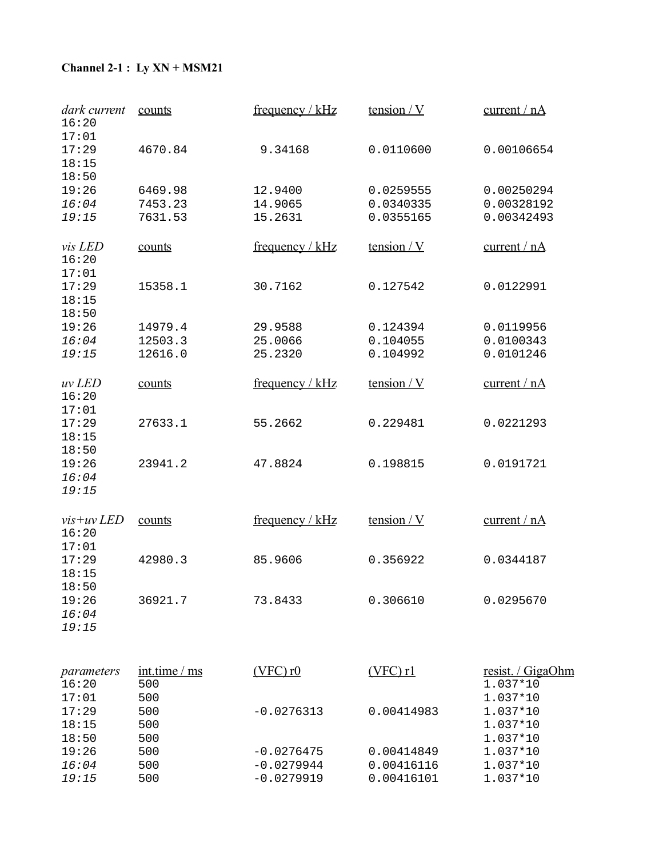# **Channel 2-1 : Ly XN + MSM21**

| dark current<br>16:20                 | counts                      | frequency / kHz   | tension $/Y$ | current / nA                              |
|---------------------------------------|-----------------------------|-------------------|--------------|-------------------------------------------|
| 17:01<br>17:29<br>18:15<br>18:50      | 4670.84                     | 9.34168           | 0.0110600    | 0.00106654                                |
| 19:26                                 | 6469.98                     | 12.9400           | 0.0259555    | 0.00250294                                |
| 16:04                                 | 7453.23                     | 14.9065           | 0.0340335    | 0.00328192                                |
| 19:15                                 | 7631.53                     | 15.2631           | 0.0355165    | 0.00342493                                |
| <i>vis LED</i><br>16:20<br>17:01      | counts                      | frequency / $kHz$ | tension / V  | current / nA                              |
| 17:29<br>18:15<br>18:50               | 15358.1                     | 30.7162           | 0.127542     | 0.0122991                                 |
| 19:26                                 | 14979.4                     | 29.9588           | 0.124394     | 0.0119956                                 |
| 16:04                                 | 12503.3                     | 25.0066           | 0.104055     | 0.0100343                                 |
| 19:15                                 | 12616.0                     | 25.2320           | 0.104992     | 0.0101246                                 |
| uv LED<br>16:20<br>17:01              | counts                      | frequency / $kHz$ | tension $/Y$ | current / nA                              |
| 17:29<br>18:15<br>18:50               | 27633.1                     | 55.2662           | 0.229481     | 0.0221293                                 |
| 19:26<br>16:04<br>19:15               | 23941.2                     | 47.8824           | 0.198815     | 0.0191721                                 |
| $vis+uv$ <i>LED</i><br>16:20<br>17:01 | counts                      | frequency / $kHz$ | tension $/Y$ | current / nA                              |
| 17:29<br>18:15<br>18:50               | 42980.3                     | 85.9606           | 0.356922     | 0.0344187                                 |
| 19:26<br>16:04<br>19:15               | 36921.7                     | 73.8433           | 0.306610     | 0.0295670                                 |
| parameters<br>16:20<br>17:01          | int.time / ms<br>500<br>500 | $(VFC)$ r $0$     | $(VFC)$ r1   | resist. / GigaOhm<br>1.037*10<br>1.037*10 |
| 17:29<br>18:15<br>18:50               | 500<br>500<br>500           | $-0.0276313$      | 0.00414983   | 1.037*10<br>1.037*10<br>1.037*10          |
| 19:26                                 | 500                         | $-0.0276475$      | 0.00414849   | 1.037*10                                  |
| 16:04                                 | 500                         | $-0.0279944$      | 0.00416116   | 1.037*10                                  |
| 19:15                                 | 500                         | $-0.0279919$      | 0.00416101   | 1.037*10                                  |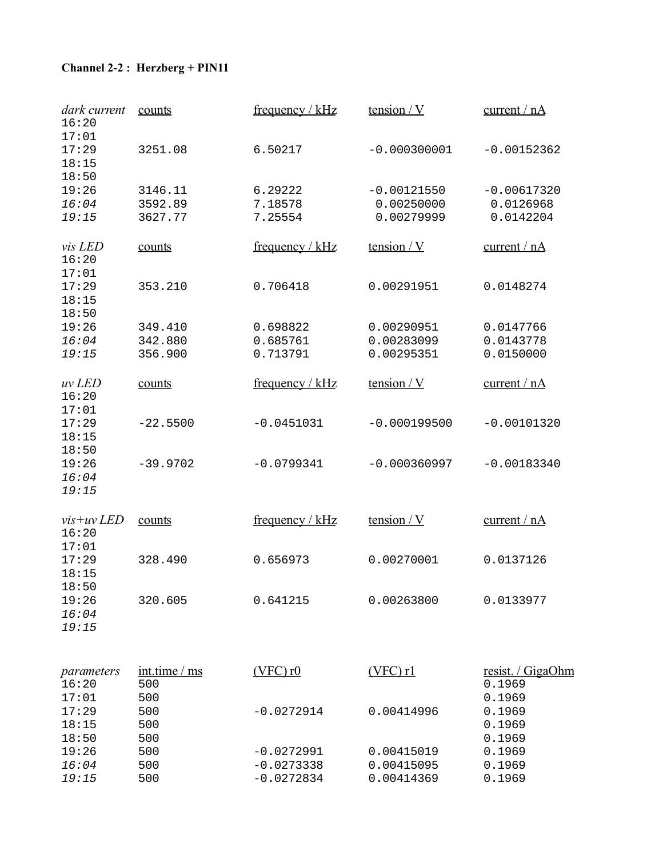# **Channel 2-2 : Herzberg + PIN11**

| dark current<br>16:20            | counts                        | frequency / $kHz$                            | tension $/Y$                              | current / $nA$                          |
|----------------------------------|-------------------------------|----------------------------------------------|-------------------------------------------|-----------------------------------------|
| 17:01<br>17:29<br>18:15<br>18:50 | 3251.08                       | 6.50217                                      | $-0.000300001$                            | $-0.00152362$                           |
| 19:26<br>16:04<br>19:15          | 3146.11<br>3592.89<br>3627.77 | 6.29222<br>7.18578<br>7.25554                | $-0.00121550$<br>0.00250000<br>0.00279999 | $-0.00617320$<br>0.0126968<br>0.0142204 |
| <i>vis LED</i>                   | counts                        | frequency / $kHz$                            | tension / V                               | current / nA                            |
| 16:20<br>17:01<br>17:29<br>18:15 | 353.210                       | 0.706418                                     | 0.00291951                                | 0.0148274                               |
| 18:50<br>19:26<br>16:04<br>19:15 | 349.410<br>342.880<br>356.900 | 0.698822<br>0.685761<br>0.713791             | 0.00290951<br>0.00283099<br>0.00295351    | 0.0147766<br>0.0143778<br>0.0150000     |
| uv LED<br>16:20                  | counts                        | frequency / $kHz$                            | tension $/Y$                              | current / $nA$                          |
| 17:01<br>17:29<br>18:15          | $-22.5500$                    | $-0.0451031$                                 | $-0.000199500$                            | $-0.00101320$                           |
| 18:50<br>19:26<br>16:04<br>19:15 | $-39.9702$                    | $-0.0799341$                                 | $-0.000360997$                            | $-0.00183340$                           |
| $vis+uv$ <i>LED</i><br>16:20     | counts                        | frequency / $kHz$                            | tension $/Y$                              | current / nA                            |
| 17:01<br>17:29<br>18:15          | 328.490                       | 0.656973                                     | 0.00270001                                | 0.0137126                               |
| 18:50<br>19:26<br>16:04<br>19:15 | 320.605                       | 0.641215                                     | 0.00263800                                | 0.0133977                               |
| parameters<br>16:20              | int.time / ms<br>500          | $(VFC)$ r $0$                                | $(VFC)$ r1                                | resist. / GigaOhm<br>0.1969             |
| 17:01<br>17:29<br>18:15          | 500<br>500<br>500             | $-0.0272914$                                 | 0.00414996                                | 0.1969<br>0.1969<br>0.1969              |
| 18:50<br>19:26<br>16:04<br>19:15 | 500<br>500<br>500<br>500      | $-0.0272991$<br>$-0.0273338$<br>$-0.0272834$ | 0.00415019<br>0.00415095<br>0.00414369    | 0.1969<br>0.1969<br>0.1969<br>0.1969    |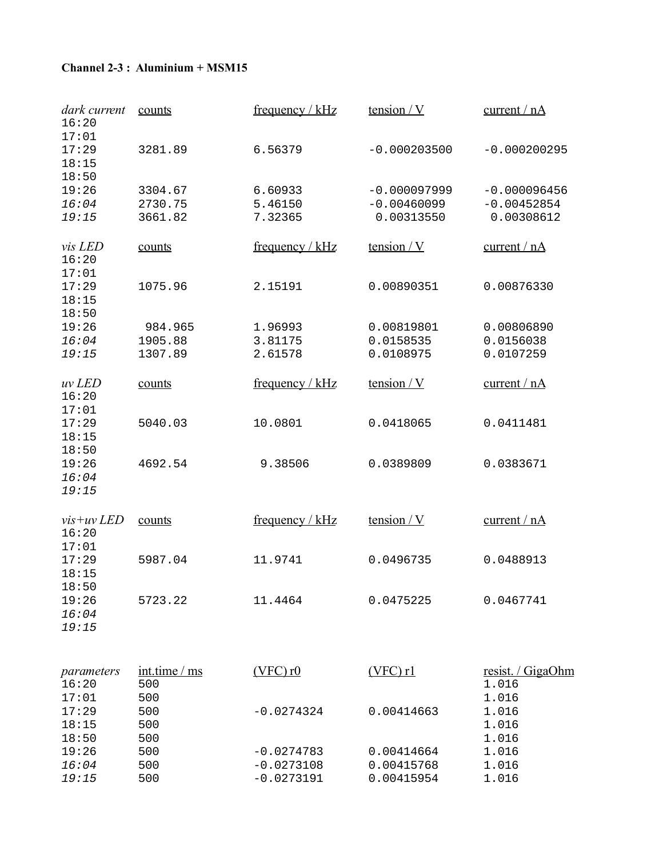#### **Channel 2-3 : Aluminium + MSM15**

| dark current<br>16:20                 | counts               | frequency / $kHz$  | tension / V                 | current / nA                |
|---------------------------------------|----------------------|--------------------|-----------------------------|-----------------------------|
| 17:01<br>17:29<br>18:15<br>18:50      | 3281.89              | 6.56379            | $-0.000203500$              | $-0.000200295$              |
| 19:26                                 | 3304.67              | 6.60933            | $-0.000097999$              | $-0.000096456$              |
| 16:04<br>19:15                        | 2730.75<br>3661.82   | 5.46150<br>7.32365 | $-0.00460099$<br>0.00313550 | $-0.00452854$<br>0.00308612 |
|                                       |                      |                    |                             |                             |
| <i>vis LED</i><br>16:20<br>17:01      | counts               | frequency / kHz    | tension / V                 | current / nA                |
| 17:29<br>18:15                        | 1075.96              | 2.15191            | 0.00890351                  | 0.00876330                  |
| 18:50<br>19:26                        | 984.965              | 1.96993            | 0.00819801                  | 0.00806890                  |
| 16:04                                 | 1905.88              | 3.81175            | 0.0158535                   | 0.0156038                   |
| 19:15                                 | 1307.89              | 2.61578            | 0.0108975                   | 0.0107259                   |
| uv LED<br>16:20<br>17:01              | counts               | frequency / kHz    | tension $/Y$                | current / nA                |
| 17:29<br>18:15<br>18:50               | 5040.03              | 10.0801            | 0.0418065                   | 0.0411481                   |
| 19:26<br>16:04<br>19:15               | 4692.54              | 9.38506            | 0.0389809                   | 0.0383671                   |
| $vis+uv$ <i>LED</i><br>16:20<br>17:01 | counts               | frequency / $kHz$  | tension $/Y$                | current / nA                |
| 17:29<br>18:15<br>18:50               | 5987.04              | 11.9741            | 0.0496735                   | 0.0488913                   |
| 19:26<br>16:04<br>19:15               | 5723.22              | 11.4464            | 0.0475225                   | 0.0467741                   |
| parameters<br>16:20<br>17:01          | int.time / ms<br>500 | $(VFC)$ r $0$      | $(VFC)$ rl                  | resist. / GigaOhm<br>1.016  |
| 17:29<br>18:15                        | 500<br>500<br>500    | $-0.0274324$       | 0.00414663                  | 1.016<br>1.016<br>1.016     |
| 18:50<br>19:26                        | 500<br>500           | $-0.0274783$       | 0.00414664                  | 1.016<br>1.016              |
| 16:04                                 | 500                  | $-0.0273108$       | 0.00415768                  | 1.016                       |
| 19:15                                 | 500                  | $-0.0273191$       | 0.00415954                  | 1.016                       |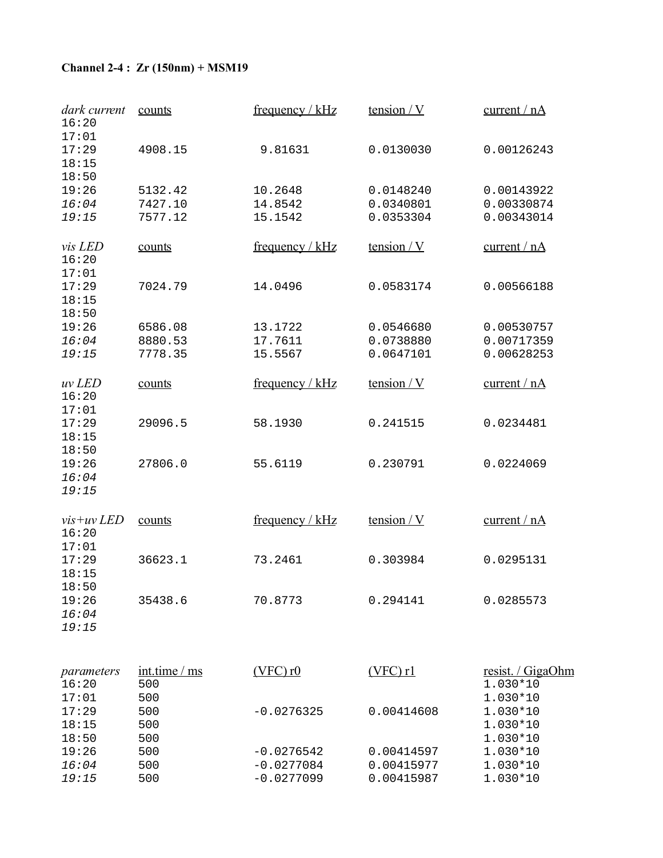# **Channel 2-4 : Zr (150nm) + MSM19**

| dark current<br>16:20                 | counts                      | frequency / kHz   | tension $/Y$ | current / nA                              |
|---------------------------------------|-----------------------------|-------------------|--------------|-------------------------------------------|
| 17:01<br>17:29<br>18:15<br>18:50      | 4908.15                     | 9.81631           | 0.0130030    | 0.00126243                                |
| 19:26                                 | 5132.42                     | 10.2648           | 0.0148240    | 0.00143922                                |
| 16:04                                 | 7427.10                     | 14.8542           | 0.0340801    | 0.00330874                                |
| 19:15                                 | 7577.12                     | 15.1542           | 0.0353304    | 0.00343014                                |
| vis LED<br>16:20<br>17:01             | counts                      | frequency / $kHz$ | tension / V  | current / nA                              |
| 17:29<br>18:15<br>18:50               | 7024.79                     | 14.0496           | 0.0583174    | 0.00566188                                |
| 19:26                                 | 6586.08                     | 13.1722           | 0.0546680    | 0.00530757                                |
| 16:04                                 | 8880.53                     | 17.7611           | 0.0738880    | 0.00717359                                |
| 19:15                                 | 7778.35                     | 15.5567           | 0.0647101    | 0.00628253                                |
| uv LED<br>16:20<br>17:01              | counts                      | frequency / $kHz$ | tension / V  | current / nA                              |
| 17:29<br>18:15<br>18:50               | 29096.5                     | 58.1930           | 0.241515     | 0.0234481                                 |
| 19:26<br>16:04<br>19:15               | 27806.0                     | 55.6119           | 0.230791     | 0.0224069                                 |
| $vis+uv$ <i>LED</i><br>16:20<br>17:01 | counts                      | frequency / $kHz$ | tension / V  | current / nA                              |
| 17:29<br>18:15<br>18:50               | 36623.1                     | 73.2461           | 0.303984     | 0.0295131                                 |
| 19:26<br>16:04<br>19:15               | 35438.6                     | 70.8773           | 0.294141     | 0.0285573                                 |
| parameters<br>16:20<br>17:01          | int.time / ms<br>500<br>500 | $(VFC)$ r $0$     | $(VFC)$ rl   | resist. / GigaOhm<br>1.030*10<br>1.030*10 |
| 17:29<br>18:15<br>18:50               | 500<br>500<br>500           | $-0.0276325$      | 0.00414608   | 1.030*10<br>1.030*10<br>1.030*10          |
| 19:26                                 | 500                         | $-0.0276542$      | 0.00414597   | 1.030*10                                  |
| 16:04                                 | 500                         | $-0.0277084$      | 0.00415977   | 1.030*10                                  |
| 19:15                                 | 500                         | $-0.0277099$      | 0.00415987   | 1.030*10                                  |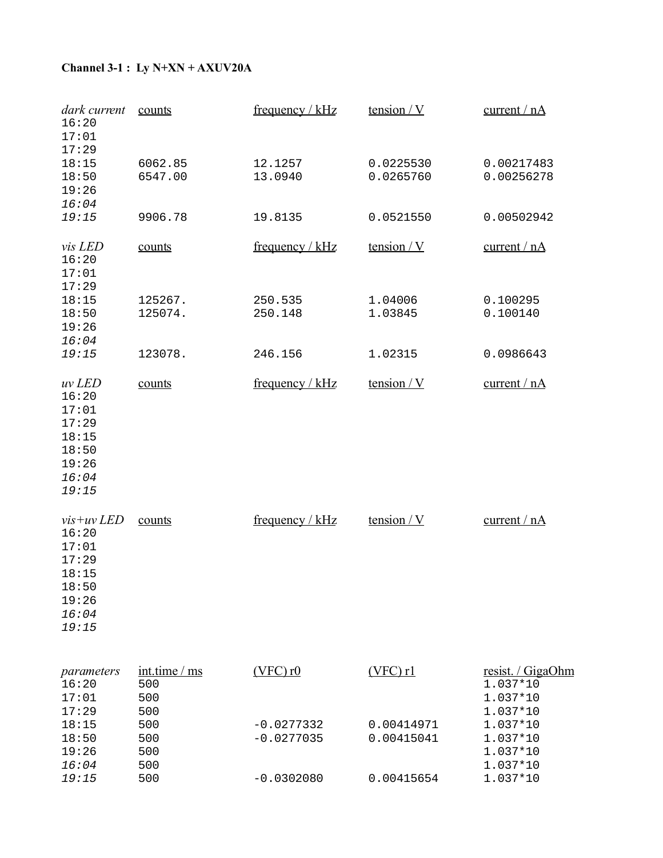# **Channel 3-1 : Ly N+XN + AXUV20A**

| dark current<br>16:20<br>17:01<br>17:29                                                     | counts                          | frequency / $kHz$            | tension $/Y$             | current / $nA$                                           |
|---------------------------------------------------------------------------------------------|---------------------------------|------------------------------|--------------------------|----------------------------------------------------------|
| 18:15<br>18:50<br>19:26<br>16:04                                                            | 6062.85<br>6547.00              | 12.1257<br>13.0940           | 0.0225530<br>0.0265760   | 0.00217483<br>0.00256278                                 |
| 19:15                                                                                       | 9906.78                         | 19.8135                      | 0.0521550                | 0.00502942                                               |
| vis LED<br>16:20<br>17:01                                                                   | counts                          | frequency / $kHz$            | tension / V              | current / nA                                             |
| 17:29<br>18:15<br>18:50<br>19:26                                                            | 125267.<br>125074.              | 250.535<br>250.148           | 1.04006<br>1.03845       | 0.100295<br>0.100140                                     |
| 16:04<br>19:15                                                                              | 123078.                         | 246.156                      | 1.02315                  | 0.0986643                                                |
| uv LED<br>16:20<br>17:01<br>17:29<br>18:15<br>18:50<br>19:26<br>16:04<br>19:15              | counts                          | frequency / $kHz$            | tension $/Y$             | current / $nA$                                           |
| $vis+uv$ <i>LED</i><br>16:20<br>17:01<br>17:29<br>18:15<br>18:50<br>19:26<br>16:04<br>19:15 | counts                          | frequency / kHz              | tension / V              | current / nA                                             |
| parameters<br>16:20<br>17:01                                                                | int.time / ms<br>500<br>500     | $(VFC)$ r $0$                | $(VFC)$ rl               | resist. / GigaOhm<br>1.037*10<br>1.037*10                |
| 17:29<br>18:15<br>18:50<br>19:26<br>16:04                                                   | 500<br>500<br>500<br>500<br>500 | $-0.0277332$<br>$-0.0277035$ | 0.00414971<br>0.00415041 | 1.037*10<br>1.037*10<br>1.037*10<br>1.037*10<br>1.037*10 |
| 19:15                                                                                       | 500                             | $-0.0302080$                 | 0.00415654               | 1.037*10                                                 |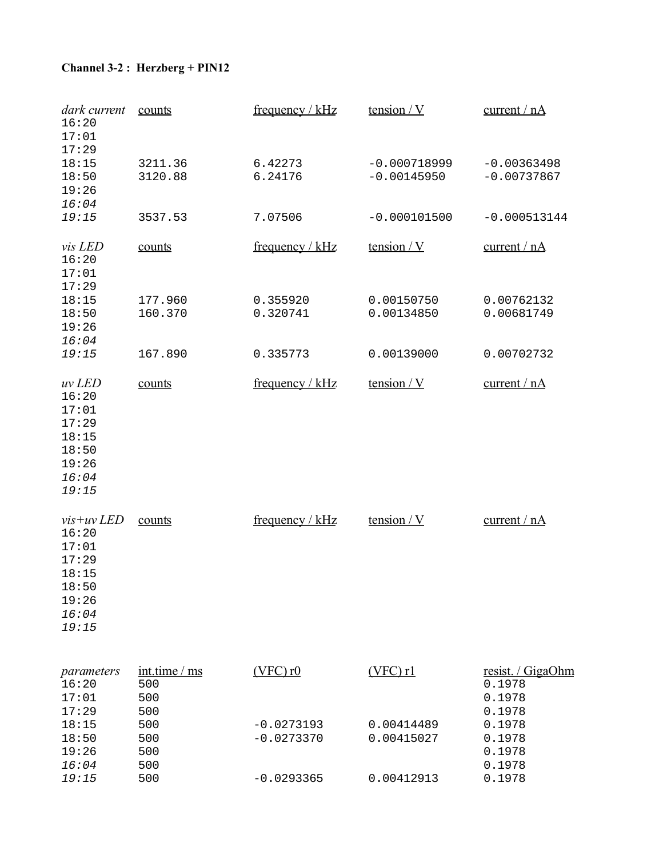# **Channel 3-2 : Herzberg + PIN12**

16:04 500<br>19:15 500

| dark current<br>16:20<br>17:01                                                              | counts                             | frequency / $kHz$            | tension $/V$                    | current / $nA$                                  |
|---------------------------------------------------------------------------------------------|------------------------------------|------------------------------|---------------------------------|-------------------------------------------------|
| 17:29<br>18:15<br>18:50<br>19:26                                                            | 3211.36<br>3120.88                 | 6.42273<br>6.24176           | $-0.000718999$<br>$-0.00145950$ | $-0.00363498$<br>$-0.00737867$                  |
| 16:04<br>19:15                                                                              | 3537.53                            | 7.07506                      | $-0.000101500$                  | $-0.000513144$                                  |
| <i>vis LED</i><br>16:20<br>17:01<br>17:29                                                   | counts                             | frequency / kHz              | tension $/Y$                    | current / nA                                    |
| 18:15<br>18:50<br>19:26<br>16:04                                                            | 177.960<br>160.370                 | 0.355920<br>0.320741         | 0.00150750<br>0.00134850        | 0.00762132<br>0.00681749                        |
| 19:15                                                                                       | 167.890                            | 0.335773                     | 0.00139000                      | 0.00702732                                      |
| uv LED<br>16:20<br>17:01<br>17:29<br>18:15<br>18:50<br>19:26<br>16:04<br>19:15              | counts                             | frequency / $kHz$            | tension / V                     | current / nA                                    |
| $vis+uv$ <i>LED</i><br>16:20<br>17:01<br>17:29<br>18:15<br>18:50<br>19:26<br>16:04<br>19:15 | counts                             | frequency / kHz              | tension $/Y$                    | current / nA                                    |
| parameters<br>16:20<br>17:01<br>17:29                                                       | int.time / ms<br>500<br>500<br>500 | $(VFC)$ r $0$                | $(VFC)$ r1                      | resist. / GigaOhm<br>0.1978<br>0.1978<br>0.1978 |
| 18:15<br>18:50<br>19:26<br>16:04                                                            | 500<br>500<br>500<br>500           | $-0.0273193$<br>$-0.0273370$ | 0.00414489<br>0.00415027        | 0.1978<br>0.1978<br>0.1978<br>0.1978            |

19:15 500 -0.0293365 0.00412913 0.1978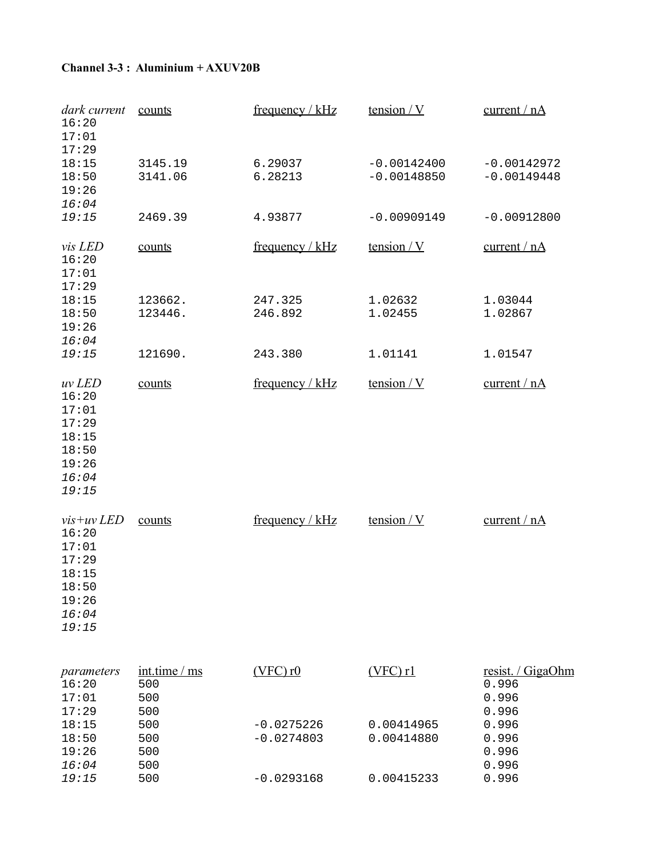#### **Channel 3-3 : Aluminium + AXUV20B**

| dark current<br>16:20<br>17:01                                                       | counts                          | frequency / $kHz$            | tension / V                    | current / $nA$                            |
|--------------------------------------------------------------------------------------|---------------------------------|------------------------------|--------------------------------|-------------------------------------------|
| 17:29<br>18:15<br>18:50<br>19:26<br>16:04                                            | 3145.19<br>3141.06              | 6.29037<br>6.28213           | $-0.00142400$<br>$-0.00148850$ | $-0.00142972$<br>$-0.00149448$            |
| 19:15                                                                                | 2469.39                         | 4.93877                      | $-0.00909149$                  | $-0.00912800$                             |
| vis LED<br>16:20<br>17:01<br>17:29                                                   | counts                          | frequency / $kHz$            | tension / V                    | current / nA                              |
| 18:15<br>18:50<br>19:26<br>16:04                                                     | 123662.<br>123446.              | 247.325<br>246.892           | 1.02632<br>1.02455             | 1.03044<br>1.02867                        |
| 19:15                                                                                | 121690.                         | 243.380                      | 1.01141                        | 1.01547                                   |
| uv LED<br>16:20<br>17:01<br>17:29<br>18:15<br>18:50<br>19:26<br>16:04<br>19:15       | counts                          | frequency / kHz              | tension $/Y$                   | current / nA                              |
| $vis+uv LED$<br>16:20<br>17:01<br>17:29<br>18:15<br>18:50<br>19:26<br>16:04<br>19:15 | counts                          | frequency / $kHz$            | tension $/Y$                   | current / nA                              |
| parameters<br>16:20<br>17:01                                                         | int.time / ms<br>500<br>500     | $(VFC)$ r $0$                | $(VFC)$ r1                     | resist. / GigaOhm<br>0.996<br>0.996       |
| 17:29<br>18:15<br>18:50<br>19:26<br>16:04                                            | 500<br>500<br>500<br>500<br>500 | $-0.0275226$<br>$-0.0274803$ | 0.00414965<br>0.00414880       | 0.996<br>0.996<br>0.996<br>0.996<br>0.996 |
| 19:15                                                                                | 500                             | $-0.0293168$                 | 0.00415233                     | 0.996                                     |